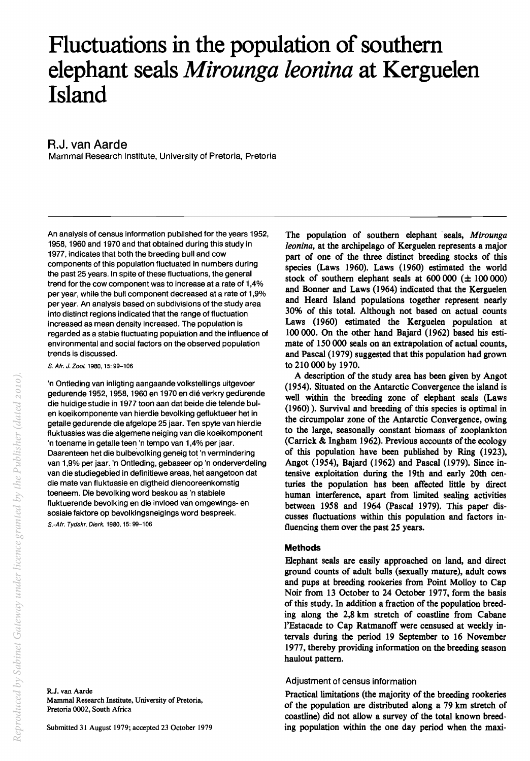# **Fluctuations in the population of southern elephant seals** *Mirounga leonina* **at Kerguelen Island**

# R.J. van Aarde

Mammal Research Institute, University of Pretoria, Pretoria

An analysis of census information published for the years 1952, 1958,1960 and 1970 and that obtained during this study in 1977, indicates that both the breeding bull and cow components of this population fluctuated in numbers during the past 25 years. In spite of these fluctuations, the general trend for the cow component was to increase at a rate of 1,4% per year, while the bull component decreased at a rate of 1,9% per year. An analysis based on subdivisions of the study area into distinct regions indicated that the range of fluctuation increased as mean density increased. The population is regarded as a stable fluctuating population and the influence of environmental and social factors on the observed population trends is discussed.

S. Afr. J. Zoo/. 1980,15: 99-106

'n Ontleding van inligting aangaande volkstellings uitgevoer gedurende 1952, 1958, 1960 en 1970 en dié verkry gedurende die huidige studie in 1977 toon aan dat beide die telende bulen koeikomponente van hierdie bevolking gefluktueer het in getalle gedurende die afgelope 25 jaar. Ten spyte van hierdie fluktuasies was die algemene neiging van die koeikomponent 'n toename in getalle teen 'n tempo van 1,4% per jaar. Daarenteen het die bulbevolking geneig tot 'n vermindering van 1,9% per jaar. 'n Ontleding, gebaseer op 'n onderverdeling van die studiegebied in definitiewe areas, het aangetoon dat die mate van fluktuasie en digtheid dienooreenkomstig toeneem. Die bevolking word beskou as 'n stabiele fluktuerende bevolking en die invloed van omgewings- en sosiale faktore op bevolkingsneigings word bespreek. S.-Afr. Tydskr. Dierk. 1980, 15: 99-106

Submitted 31 August 1979; accepted 23 October 1979

The population of southern elephant seals, *Mirounga leonina,* at the archipelago of Kerguelen represents a major part of one of the three distinct breeding stocks of this species (Laws 1960). Laws (1960) estimated the world stock of southern elephant seals at  $600 000 (\pm 100 000)$ and Bonner and Laws (1964) indicated that the Kerguelen and Heard Island populations together represent nearly 30% of this total. Although not based on actual counts Laws (1960) estimated the Kerguelen population at 100 000. On the other hand Bajard (1962) based his estimate of 150 000 seals on an extrapolation of actual counts, and Pascal (1979) suggested that this population had grown to 210 000 by 1970.

A description of the study area has been given by Angot (1954). Situated on the Antarctic Convergence the island is well within the breeding zone of elephant seals (Laws  $(1960)$ ). Survival and breeding of this species is optimal in the circumpolar zone of the Antarctic Convergence, owing to the large, seasonally constant biomass of zooplankton (Carrick & Ingham 1962). Previous accounts of the ecology of this population have been published by Ring (1923), Angot (1954), Bajard (1962) and Pascal (l979). Since intensive exploitation during the 19th and early 20th centuries the population has been affected little by direct human interference, apart from limited sealing activities between 1958 and 1964 (Pascal 1979). This paper discusses fluctuations within this population and factors influencing them over the past 25 years.

# **Methods**

Eephant seals are easily approached on land, and direct ground counts of adult bulls (sexually mature), adult cows and pups at breeding rookeries from Point Molloy to Cap Noir from 13 October to 24 October 1977, form the basis of this study. In addition a fraction of the population breeding along the 2,8 km stretch of coastline from Cabane l'Estacade to Cap Ratmanoff were censused at weekly intervals during the period 19 September to 16 November 1977, thereby providing information on the breeding season haulout pattern.

# Adjustment of census information

Practical limitations (the majority of the breeding rookeries of the population are distributed along a 79 km stretch of coastline) did not allow a survey of the total known breeding population within the one day period when the maxi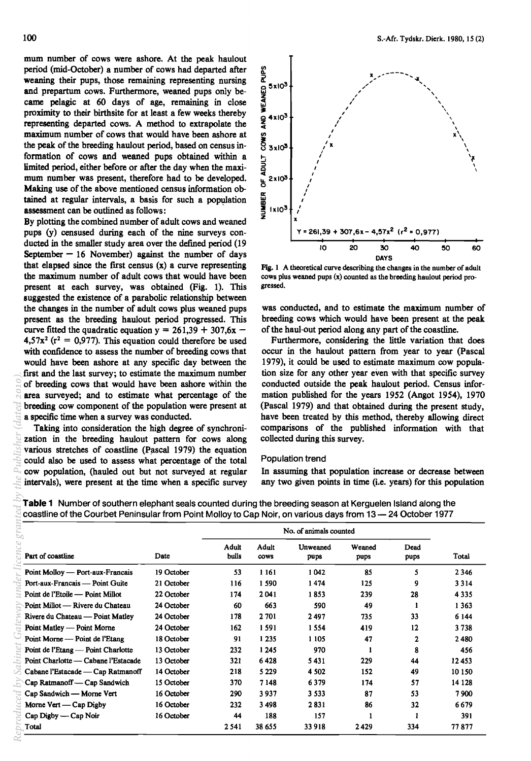mum number of cows were ashore. At the peak haulout period (mid-October) a number of cows had departed after weaning their pups, those remaining representing nursing and prepartum cows. Furthermore, weaned pups only became pelagic at 60 days of age, remaining in close proximity to their birthsite for at least a few weeks thereby representing departed cows. A method to extrapolate the maximum number of cows that would have been ashore at the peak of the breeding haulout period, based on census information of cows and weaned pups obtained within a limited period, either before or after the day when the maximum number was present, therefore had to be developed. Making use of the above mentioned census information obtained at regular intervals, a basis for such a population assessment can be outlined as follows:

By plotting the combined number of adult cows and weaned pups (y) censused during each of the nine surveys conducted in the smaller study area over the defmed period (19 September  $-16$  November) against the number of days that elapsed since the first census  $(x)$  a curve representing the maximum number of adult cows that would have been present at each survey, was obtained (Fig. 1). This suggested the existence of a parabolic relationship between the changes in the number of adult cows plus weaned pups present as the breeding haulout period progressed. This curve fitted the quadratic equation  $y = 261,39 + 307,6x$  - $4,57x^2$  ( $r^2 = 0,977$ ). This equation could therefore be used with confidence to assess the number of breeding cows that would have been ashore at any specific day between the first and the last survey; to estimate the maximum number of breeding cows that would have been ashore within the area surveyed; and to estimate what percentage of the breeding cow component of the population were present at a specific time when a survey was conducted.



Fig. 1 A theoretical curve describing the changes in the number of adult cows plus weaned pups (x) counted as the breeding haulout period progressed.

was conducted, and to estimate the maximum number of breeding cows which would have been present at the peak of the haul-out period along any part of the coastline.

Furthermore, considering the little variation that does occur in the haulout pattern from year to year (Pascal 1979), it could be used to estimate maximum cow population size for any other year even with that specific survey conducted outside the peak haulout period. Census information published for the years 1952 (Angot 1954), 1970 (Pascal 1979) and that obtained during the present study, have been treated by this method, thereby allowing direct comparisons of the published information with that collected during this survey.

#### Population trend

|  |  | Table 1 Number of southern elephant seals counted during the breeding season at Kerguelen Island along the   |  |
|--|--|--------------------------------------------------------------------------------------------------------------|--|
|  |  | coastline of the Courbet Peninsular from Point Molloy to Cap Noir, on various days from 13 - 24 October 1977 |  |

| of breeding cows that would have been ashore within the<br>area surveyed; and to estimate what percentage of the<br>breeding cow component of the population were present at<br>a specific time when a survey was conducted.<br>Taking into consideration the high degree of synchroni-<br>zation in the breeding haulout pattern for cows along<br>various stretches of coastline (Pascal 1979) the equation<br>could also be used to assess what percentage of the total<br>cow population, (hauled out but not surveyed at regular<br>intervals), were present at the time when a specific survey |            |                        | conducted outside the peak haulout period. Census infor-<br>mation published for the years 1952 (Angot 1954), 1970<br>(Pascal 1979) and that obtained during the present study,<br>have been treated by this method, thereby allowing direct<br>comparisons of the published information with that<br>collected during this survey.<br>Population trend<br>In assuming that population increase or decrease between<br>any two given points in time (i.e. years) for this population<br>Table 1 Number of southern elephant seals counted during the breeding season at Kerguelen Island along the<br>coastline of the Courbet Peninsular from Point Molloy to Cap Noir, on various days from 13 - 24 October 1977 |                  |                |              |              |  |  |
|------------------------------------------------------------------------------------------------------------------------------------------------------------------------------------------------------------------------------------------------------------------------------------------------------------------------------------------------------------------------------------------------------------------------------------------------------------------------------------------------------------------------------------------------------------------------------------------------------|------------|------------------------|--------------------------------------------------------------------------------------------------------------------------------------------------------------------------------------------------------------------------------------------------------------------------------------------------------------------------------------------------------------------------------------------------------------------------------------------------------------------------------------------------------------------------------------------------------------------------------------------------------------------------------------------------------------------------------------------------------------------|------------------|----------------|--------------|--------------|--|--|
|                                                                                                                                                                                                                                                                                                                                                                                                                                                                                                                                                                                                      |            | No. of animals counted |                                                                                                                                                                                                                                                                                                                                                                                                                                                                                                                                                                                                                                                                                                                    |                  |                |              |              |  |  |
| Part of coastline<br>Date                                                                                                                                                                                                                                                                                                                                                                                                                                                                                                                                                                            |            | <b>Adult</b><br>bulls  | Adult<br><b>COWS</b>                                                                                                                                                                                                                                                                                                                                                                                                                                                                                                                                                                                                                                                                                               | Unweaned<br>pups | Weaned<br>pups | Dead<br>pups | <b>Total</b> |  |  |
| Point Molloy — Port-aux-Français                                                                                                                                                                                                                                                                                                                                                                                                                                                                                                                                                                     | 19 October | 53                     | 1 1 6 1                                                                                                                                                                                                                                                                                                                                                                                                                                                                                                                                                                                                                                                                                                            | 1042             | 85             | 5.           | 2 3 4 6      |  |  |
| Port-aux-Francais — Point Guite                                                                                                                                                                                                                                                                                                                                                                                                                                                                                                                                                                      | 21 October | 116                    | 1590                                                                                                                                                                                                                                                                                                                                                                                                                                                                                                                                                                                                                                                                                                               | 1474             | 125            | 9            | 3314         |  |  |
| Point de l'Etoile — Point Millot                                                                                                                                                                                                                                                                                                                                                                                                                                                                                                                                                                     | 22 October | 174                    | 2041                                                                                                                                                                                                                                                                                                                                                                                                                                                                                                                                                                                                                                                                                                               | 1853             | 239            | 28           | 4 3 3 5      |  |  |
| Point Millot — Rivere du Chateau                                                                                                                                                                                                                                                                                                                                                                                                                                                                                                                                                                     | 24 October | 60                     | 663                                                                                                                                                                                                                                                                                                                                                                                                                                                                                                                                                                                                                                                                                                                | 590              | 49             | $\mathbf{1}$ | 1 3 6 3      |  |  |
| Rivere du Chateau — Point Matley                                                                                                                                                                                                                                                                                                                                                                                                                                                                                                                                                                     | 24 October | 178                    | 2701                                                                                                                                                                                                                                                                                                                                                                                                                                                                                                                                                                                                                                                                                                               | 2497             | 735            | 33           | 6 1 4 4      |  |  |
| Point Matley — Point Morne                                                                                                                                                                                                                                                                                                                                                                                                                                                                                                                                                                           | 24 October | 162                    | 1591                                                                                                                                                                                                                                                                                                                                                                                                                                                                                                                                                                                                                                                                                                               | 1554             | 419            | 12           | 3738         |  |  |
| Point Morne — Point de l'Etang                                                                                                                                                                                                                                                                                                                                                                                                                                                                                                                                                                       | 18 October | 91                     | 1 2 3 5                                                                                                                                                                                                                                                                                                                                                                                                                                                                                                                                                                                                                                                                                                            | 1 1 0 5          | 47             | 2            | 2480         |  |  |
| Point de l'Etang — Point Charlotte                                                                                                                                                                                                                                                                                                                                                                                                                                                                                                                                                                   | 13 October | 232                    | 1 2 4 5                                                                                                                                                                                                                                                                                                                                                                                                                                                                                                                                                                                                                                                                                                            | 970              | 1              | 8            | 456          |  |  |
| Point Charlotte — Cabane l'Estacade                                                                                                                                                                                                                                                                                                                                                                                                                                                                                                                                                                  | 13 October | 321                    | 6428                                                                                                                                                                                                                                                                                                                                                                                                                                                                                                                                                                                                                                                                                                               | 5431             | 229            | 44           | 12453        |  |  |
| Cabane l'Estacade — Cap Ratmanoff                                                                                                                                                                                                                                                                                                                                                                                                                                                                                                                                                                    | 14 October | 218                    | 5 2 2 9                                                                                                                                                                                                                                                                                                                                                                                                                                                                                                                                                                                                                                                                                                            | 4 5 0 2          | 152            | 49           | 10 150       |  |  |
| Cap Ratmanoff - Cap Sandwich                                                                                                                                                                                                                                                                                                                                                                                                                                                                                                                                                                         | 15 October | 370                    | 7148                                                                                                                                                                                                                                                                                                                                                                                                                                                                                                                                                                                                                                                                                                               | 6379             | 174            | 57           | 14 1 28      |  |  |
| Cap Sandwich - Morne Vert                                                                                                                                                                                                                                                                                                                                                                                                                                                                                                                                                                            | 16 October | 290                    | 3937                                                                                                                                                                                                                                                                                                                                                                                                                                                                                                                                                                                                                                                                                                               | 3 5 3 3          | 87             | 53           | 7900         |  |  |
| Morne Vert - Cap Digby                                                                                                                                                                                                                                                                                                                                                                                                                                                                                                                                                                               | 16 October | 232                    | 3 4 9 8                                                                                                                                                                                                                                                                                                                                                                                                                                                                                                                                                                                                                                                                                                            | 2831             | 86             | 32           | 6679         |  |  |
|                                                                                                                                                                                                                                                                                                                                                                                                                                                                                                                                                                                                      | 16 October | 44                     | 188                                                                                                                                                                                                                                                                                                                                                                                                                                                                                                                                                                                                                                                                                                                | 157              | 1              | 1            | 391          |  |  |
| Cap Digby — Cap Noir                                                                                                                                                                                                                                                                                                                                                                                                                                                                                                                                                                                 |            |                        | 38 655                                                                                                                                                                                                                                                                                                                                                                                                                                                                                                                                                                                                                                                                                                             | 33918            | 2429           | 334          |              |  |  |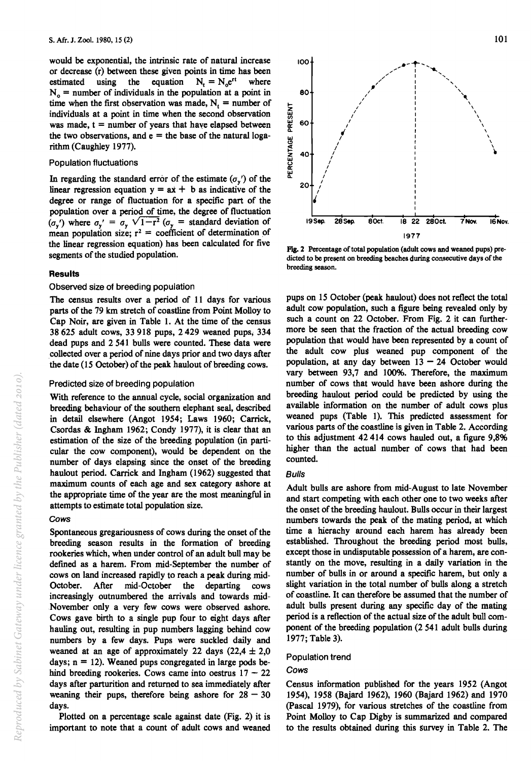would be exponential, the intrinsic rate of natural increase or decrease (r) between these given points in time has been<br>estimated using the equation  $N_t = N_0 e^{rt}$  where estimated using the equation  $N_t = N_0 e^{rt}$  where  $N_0$  = number of individuals in the population at a point in time when the first observation was made,  $N_t$  = number of individuals at a point in time when the second observation was made,  $t =$  number of years that have elapsed between the two observations, and  $e =$  the base of the natural logarithm (Caughley 1977).

#### Population fluctuations

In regarding the standard error of the estimate  $(\sigma_{\nu})$  of the linear regression equation  $y = ax + b$  as indicative of the degree or range of fluctuation for a specific part of the population over a period of time, the degree of fluctuation  $(\sigma_{\rm v}')$  where  $\sigma_{\rm v}' = \sigma_{\rm v} \sqrt{1-\tau^2}$   $(\sigma_{\rm v} = \tau)$  standard deviation of mean population size;  $r^2$  = coefficient of determination of the linear regression equation) has been calculated for five segments of the studied population.

#### **Results**

#### Observed size of breeding population

The census results over a period of 11 days for various parts of the 79 km stretch of coastline from Point Molloy to Cap Noir, are given in Table 1. At the time of the census 38625 adult cows, 33918 pups, 2429 weaned pups; 334 dead pups and 2 541 bulls were counted. These data were .collected over a period of nine days prior and two days after the date (15 October) of the peak haulout of breeding cows.

#### Predicted size of breeding population

With reference to the annual cycle, social organization and breeding behaviour of the southern elephant seal, described in detail elsewhere (Angot 1954; Laws 1960; Carrick, Csordas & Ingham 1962; Condy 1977), it is clear that an estimation of the size of the breeding population (in particular the cow component), would be dependent on the number of days elapsing since the onset of the breeding haulout period. Carrick and Ingham (1962) suggested that maximum counts of each age and sex category ashore at the appropriate time of the year are the most meaningful in attempts to estimate total population size.

#### Cows

Spontaneous gregariousness of cows during the onset of the breeding season results in the formation of breeding rookeries which, when under control of an adult bull may be defmed as a harem. From mid-September the number of cows on land increased rapidly to reach a peak during mid-October. After mid-October the departing cows increasingly outnumbered the arrivals and towards mid-November only a very few cows were observed ashore. Cows gave birth to a single pup four to eight days after hauling out, resulting in pup numbers lagging behind cow numbers by a few days. Pups were suckled daily and weaned at an age of approximately 22 days  $(22,4 \pm 2,0)$ days;  $n = 12$ ). Weaned pups congregated in large pods behind breeding rookeries. Cows came into oestrus  $17 - 22$ days after parturition and returned to sea immediately after weaning their pups, therefore being ashore for  $28 - 30$ days.

Plotted on a percentage scale against date (Fig. 2) it is important to note that a count of adult cows and weaned



FIg.2 Percentage of total population (adult cows and weaned pups) predicted to be present on breeding beaches during consecutive days of the breeding season.

pups on 15 October (peak haulout) does not reflect the total adult cow population, such a flgure being revealed only by such a count on 22 October. From Fig. 2 it can furthermore be seen that the fraction of the actual breeding cow population that would have been represented by a count of the adult cow plus weaned pup component of the population, at any day between  $13 - 24$  October would vary between 93,7 and 100%. Therefore, the maximum number of cows that would have been ashore during the breeding haulout period could be predicted by using the available information on the number of adult cows plus weaned pups (Table 1). This predicted assessment for various parts of the coastline is given in Table 2. According to this adjustment  $42414$  cows hauled out, a figure  $9,8\%$ higher than the actual number of cows that had been counted.

#### Bulls

Adult bulls are ashore from mid-August to late November and start competing with each other one to two weeks after the onset of the breeding haulout. Bulls occur in their largest numbers towards the peak of the mating period, at which time a hierachy around each harem has already been established. Throughout the breeding period most bulls, except those in undisputable possession of a harem, are constantly on the move, resulting in a daily variation in the number of bulls in or around a specific harem, but only a slight variation in the total number of bulls along a stretch of coastline. It can therefore be assumed that the number of adult bulls present during any specific day of the mating period is a reflection of the actual size of the adult bull component of the breeding population (2 541 adult bulls during 1977; Table 3).

#### Population trend

#### Cows

Census information published for the years 1952 (Angot 1954), 1958 (Bajard 1962), 1960 (Bajard 1962) and 1970 (Pascal 1979), for various stretches of the coastline from Point Molloy to Cap Digby is summarized and compared to the results obtained during this Survey in Table 2. The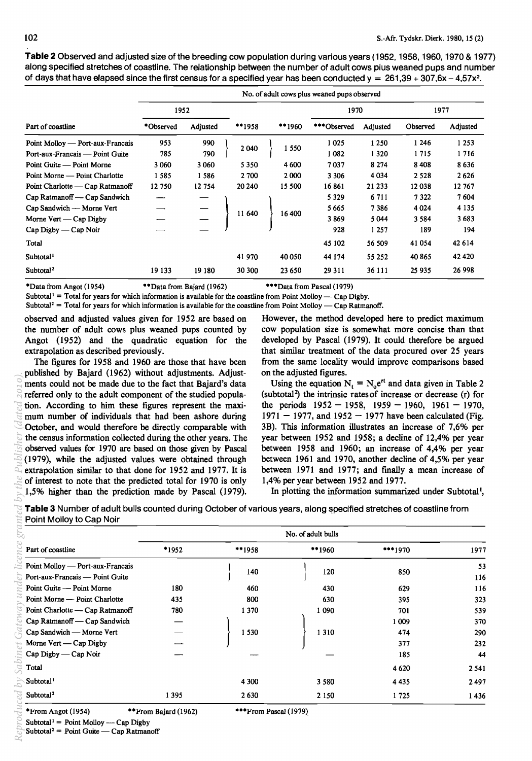**Table 2** Observed and adjusted size of the breeding cow population during various years (1952,1958,1960,1970 & 1977) along specified stretches of coastline. The relationship between the number of adult cows plus weaned pups and number of days that have elapsed since the first census for a specified year has been conducted  $y = 261,39 + 307,6x - 4.57x^2$ .

|                                  | No. of adult cows plus weaned pups observed |          |  |         |        |         |             |          |          |          |  |
|----------------------------------|---------------------------------------------|----------|--|---------|--------|---------|-------------|----------|----------|----------|--|
|                                  | 1952                                        |          |  |         |        |         | 1970        |          | 1977     |          |  |
| Part of coastline                | *Observed                                   | Adjusted |  | $*1958$ | **1960 |         | ***Observed | Adjusted | Observed | Adjusted |  |
| Point Molloy — Port-aux-Francais | 953                                         | 990      |  |         |        |         | 1025        | 1 2 5 0  | 1 24 6   | 1 2 5 3  |  |
| Port-aux-Francais - Point Guite  | 785                                         | 790      |  | 2 0 4 0 |        | 1 550   | 1082        | 1320     | 1715     | 1716     |  |
| Point Guite — Point Morne        | 3 0 6 0                                     | 3 0 6 0  |  | 5350    |        | 4 600   | 7037        | 8 2 7 4  | 8408     | 8636     |  |
| Point Morne — Point Charlotte    | 1585                                        | 1 586    |  | 2 700   |        | 2 0 0 0 | 3 3 0 6     | 4 0 3 4  | 2 5 2 8  | 2626     |  |
| Point Charlotte — Cap Ratmanoff  | 12 750                                      | 12 754   |  | 20 24 0 |        | 15 500  | 16861       | 21 233   | 12038    | 12767    |  |
| Cap Ratmanoff — Cap Sandwich     |                                             |          |  |         |        |         | 5 3 2 9     | 6711     | 7 3 2 2  | 7604     |  |
| Cap Sandwich — Morne Vert        |                                             |          |  | 11 640  | 16 400 |         | 5 665       | 7386     | 4 0 24   | 4 1 3 5  |  |
| Morne Vert — Cap Digby           |                                             |          |  |         |        |         | 3869        | 5044     | 3 5 8 4  | 3683     |  |
| $Cap$ Digby — Cap Noir           |                                             |          |  |         |        |         | 928         | 1 257    | 189      | 194      |  |
| Total                            |                                             |          |  |         |        |         | 45 102      | 56 509   | 41054    | 42 614   |  |
| Subtotal <sup>1</sup>            |                                             |          |  | 41 970  |        | 40 050  | 44 174      | 55 252   | 40 865   | 42 4 20  |  |
| Subtotal <sup>2</sup>            | 19 133                                      | 19 180   |  | 30 300  |        | 23 650  | 29 3 11     | 36 111   | 25 935   | 26 998   |  |

\*Data from Angot (1954) \*\*\*Data from Bajard (1962) \*\*\*Data from Pascal (1979)

Subtotal<sup>1</sup> = Total for years for which information is available for the coastline from Point Molloy — Cap Digby.

Subtotal<sup>2</sup> = Total for years for which information is available for the coastline from Point Molloy — Cap Ratmanoff.

observed and adjusted values given for 1952 are based on However, the method developed here to predict maximum

published by Bajard (1962) without adjustments. Adjust- on the adjusted figures. ments could not be made due to the fact that Bajard's data Using the equation  $N_t = N_0 e^{rt}$  and data given in Table 2 referred only to the adult component of the studied popula- (subtotal2) the intrinsic ratesof increase or decrease (r) for tion. According to him these figures represent the maxi-<br>the periods  $1952 - 1958$ ,  $1959 - 1960$ ,  $1961 - 1970$ , mum number of individuals that had been ashore during  $1971 - 1977$ , and  $1952 - 1977$  have been calculated (Fig. October, and would therefore be directly comparable with 3B). This information illustrates an increase of 7,6% per the census information collected during the other years. The year between 1952 and 1958; a decline of 12,4% per year observed values for 1970 are based on those given by Pascal between 1958 and 1960; an increase of 4,4% per year (1979), while the adjusted values were obtained through between 1961 and 1970, another decline of 4,5% per year extrapolation similar to that done for 1952 and 1977. It is between 1971 and 1977; and fmally a mean increase of of interest to note that the predicted total for 1970 is only 1,4% per year between 1952 and 1977. 1,5% higher than the prediction made by Pascal (1979). In plotting the information summarized under Subtotal!,

the number of adult cows plus weaned pups counted by cow population size is somewhat more concise than that Angot (1952) and the quadratic equation for the developed by Pascal (1979). It could therefore be argued extrapolation as described previously. that similar treatment of the data procured over 25 years The figures for 1958 and 1960 are those that have been from the same locality would improve comparisons based

| observed values for 1970 are based on those given by Pascal<br>(1979), while the adjusted values were obtained through<br>extrapolation similar to that done for 1952 and 1977. It is<br>of interest to note that the predicted total for 1970 is only<br>1,5% higher than the prediction made by Pascal (1979).<br>Table 3 Number of adult bulls counted during October of various years, along specified stretches of coastline from | the census information collected during the other years. The | October, and would therefore be directly comparable with | 1,4% per year between 1952 and 1977. | 3B). This information illustrates an increase of 7,6% per<br>year between 1952 and 1958; a decline of 12,4% per year<br>between 1958 and 1960; an increase of 4,4% per year<br>between 1961 and 1970, another decline of 4,5% per year<br>between 1971 and 1977; and finally a mean increase of<br>In plotting the information summarized under Subtotal <sup>1</sup> , |           |
|----------------------------------------------------------------------------------------------------------------------------------------------------------------------------------------------------------------------------------------------------------------------------------------------------------------------------------------------------------------------------------------------------------------------------------------|--------------------------------------------------------------|----------------------------------------------------------|--------------------------------------|-------------------------------------------------------------------------------------------------------------------------------------------------------------------------------------------------------------------------------------------------------------------------------------------------------------------------------------------------------------------------|-----------|
| Point Molloy to Cap Noir                                                                                                                                                                                                                                                                                                                                                                                                               |                                                              |                                                          | No. of adult bulls                   |                                                                                                                                                                                                                                                                                                                                                                         |           |
| Part of coastline                                                                                                                                                                                                                                                                                                                                                                                                                      | *1952<br>**1958                                              |                                                          | **1960                               | ***1970                                                                                                                                                                                                                                                                                                                                                                 | 1977      |
| Point Molloy — Port-aux-Francais<br>Port-aux-Francais — Point Guite                                                                                                                                                                                                                                                                                                                                                                    |                                                              | 140                                                      | 120                                  | 850                                                                                                                                                                                                                                                                                                                                                                     | 53<br>116 |
| Point Guite — Point Morne                                                                                                                                                                                                                                                                                                                                                                                                              | 180                                                          | 460                                                      | 430                                  | 629                                                                                                                                                                                                                                                                                                                                                                     | 116       |
| Point Morne — Point Charlotte                                                                                                                                                                                                                                                                                                                                                                                                          | 435                                                          | 800                                                      | 630                                  | 395                                                                                                                                                                                                                                                                                                                                                                     | 323       |
|                                                                                                                                                                                                                                                                                                                                                                                                                                        | 780                                                          | 1 3 7 0                                                  | 1 0 9 0                              | 701                                                                                                                                                                                                                                                                                                                                                                     | 539       |
| Point Charlotte - Cap Ratmanoff                                                                                                                                                                                                                                                                                                                                                                                                        |                                                              |                                                          |                                      |                                                                                                                                                                                                                                                                                                                                                                         | 370       |
| Cap Ratmanoff — Cap Sandwich                                                                                                                                                                                                                                                                                                                                                                                                           |                                                              |                                                          |                                      | 1 0 0 9                                                                                                                                                                                                                                                                                                                                                                 |           |
| Cap Sandwich - Morne Vert                                                                                                                                                                                                                                                                                                                                                                                                              |                                                              | 1530                                                     | 1 3 1 0                              | 474                                                                                                                                                                                                                                                                                                                                                                     | 290       |
| Morne Vert — Cap Digby                                                                                                                                                                                                                                                                                                                                                                                                                 |                                                              |                                                          |                                      | 377                                                                                                                                                                                                                                                                                                                                                                     | 232       |
| Cap Digby — Cap Noir                                                                                                                                                                                                                                                                                                                                                                                                                   |                                                              |                                                          |                                      | 185                                                                                                                                                                                                                                                                                                                                                                     | 44        |
| Total                                                                                                                                                                                                                                                                                                                                                                                                                                  |                                                              |                                                          |                                      | 4 6 20                                                                                                                                                                                                                                                                                                                                                                  | 2541      |
| Subtotal <sup>1</sup>                                                                                                                                                                                                                                                                                                                                                                                                                  |                                                              | 4 300                                                    | 3 5 8 0                              | 4 4 3 5                                                                                                                                                                                                                                                                                                                                                                 | 2497      |

ced by Sabinet Gateway under licence

npodz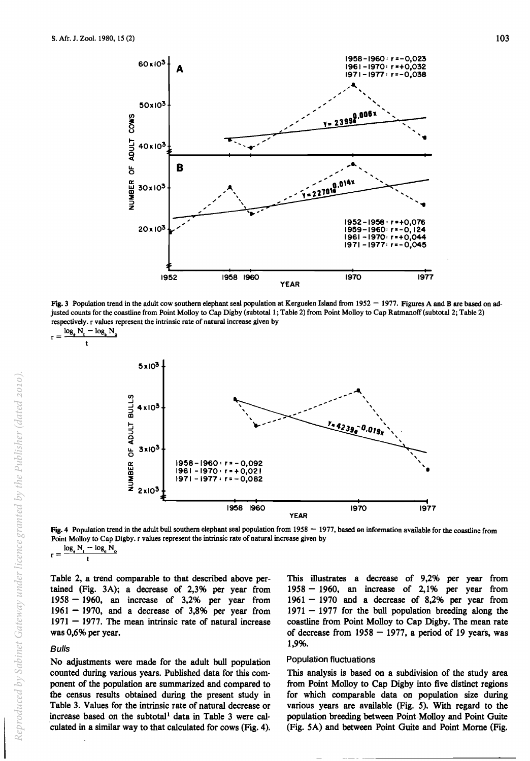

Fig. 3 Population trend in the adult cow southern elephant seal population at Kerguelen Island from  $1952 - 1977$ . Figures A and B are based on adjusted counts for the coastline from Point Molloy to Cap Digby (subtotal 1; Table 2) from Point Molloy to Cap Ratmanoff (subtotal 2; Table 2) respectively. r values represent the intrinsic rate of natural increase given by

$$
r = \frac{\log_e N_t - \log_e N_o}{t}
$$



Fig. 4 Population trend in the adult bull southern elephant seal population from  $1958 - 1977$ , based on information available for the coastline from Point Molloy to Cap Digby. r values represent the intrinsic rate of natural increase given by  $\frac{\log_e N_t - \log_e N_c}{t}$ 

Table 2, a trend comparable to that described above pertained (Fig. 3A); a decrease of 2,3% per year from  $1958 - 1960$ , an increase of 3,2% per year from  $1961 - 1970$ , and a decrease of 3,8% per year from  $1971 - 1977$ . The mean intrinsic rate of natural increase was 0,6% per year.

## **Bulls**

No adjustments were made for the adult bull population counted during various years. Published data for this component of the population are summarized and compared to the census results obtained during the present study in Table 3. Values for the intrinsic rate of natural decrease or increase based on the subtotal<sup>1</sup> data in Table 3 were cal-'culated in a similar way to that calculated for cows (Fig. 4).

This illustrates a decrease of 9,2% per year from  $1958 - 1960$ , an increase of 2,1% per year from  $1961 - 1970$  and a decrease of 8,2% per year from  $1971 - 1977$  for the bull population breeding along the coastline from Point Molloy to Cap Digby. The mean rate of decrease from  $1958 - 1977$ , a period of 19 years, was 1,9%.

#### Population fluctuations

This analysis is based on a subdivision of the study area from Point Molloy to Cap Digby into five distinct regions for which comparable data on population size during various years are available (Fig. 5). With regard to the population breeding between Point Molloy and Point Guite (Fig. 5A) and between Point Guite and Point Morne (Fig.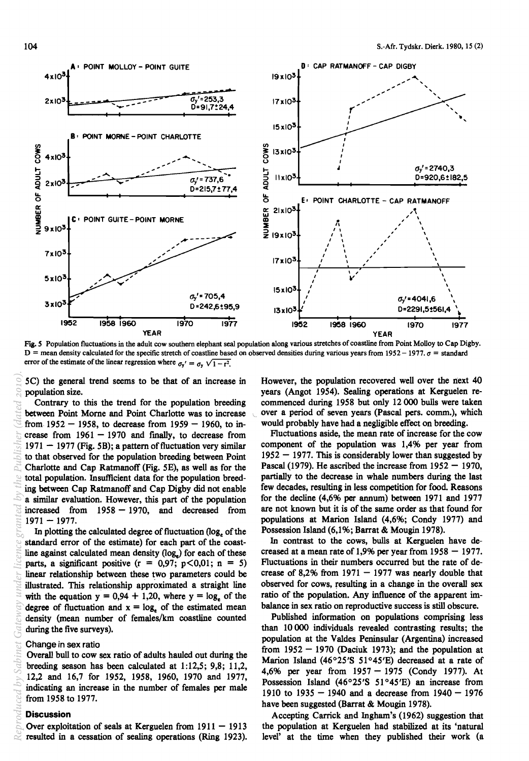

Fig. 5 Population fluctuations in the adult cow southern elephant seal population along various stretches of coastline from Point Molloy to Cap Digby. D = mean density calculated for the specific stretch of coastline based on observed densities during various years from 1952 - 1977.  $\sigma$  = standard error of the estimate of the linear regression where  $\sigma_y' = \sigma_y \sqrt{1-\tau^2}$ error of the estimate of the linear regression where  $\sigma_y' = \sigma_y \sqrt{1-r^2}$ .

5C) the general trend seems to be that of an increase in population size.

Contrary to this the trend for the population breeding between Point Morne and Point Charlotte was to increase from  $1952 - 1958$ , to decrease from  $1959 - 1960$ , to increase from  $1961 - 1970$  and finally, to decrease from  $1971 - 1977$  (Fig. 5B); a pattern of fluctuation very similar to that observed for the population breeding between Point Charlotte and Cap Ratmanoff (Fig. 5E), as well as for the total population. Insufficient data for the population breeding between Cap Ratmanoff and Cap Digby did not enable a similar evaluation. However, this part of the population increased from  $1958 - 1970$ , and decreased from  $1971 - 1977.$ *eproduced by Sabinet Gateway under licence granted by the Publisher (dated 2010).*

In plotting the calculated degree of fluctuation  $(\log_e o f)$  the standard error of the estimate) for each part of the coastline against calculated mean density  $(log<sub>e</sub>)$  for each of these parts, a significant positive  $(r = 0.97; p<0.01; n = 5)$ linear relationship between these two parameters could be illustrated. This relationship approximated a straight line with the equation  $y = 0.94 + 1.20$ , where  $y = \log_e$  of the degree of fluctuation and  $x = log_e$  of the estimated mean density (mean number of females/km coastline counted during the five surveys).

#### Change in sex ratio

Overall bull to cow sex ratio of adults hauled out during the breeding season has been calculated at  $1:12,5$ ; 9,8; 11,2, 12,2 and 16,7 for 1952, 1958, 1960, 1970 and 1977, indicating an increase in the number of females per male from 1958 to 1977.

#### **Discussion**

*R*

Over exploitation of seals at Kerguelen from  $1911 - 1913$ resulted in a cessation of sealing operations (Ring 1923).

However, the population recovered well over the next 40 years (Angot 1954). Sealing operations at Kerguelen recommenced during 1958 but only 12000 bulls were taken over a period of seven years (Pascal pers. comm.), which would probably have had a negligible effect on breeding.

Fluctuations aside, the mean rate of increase for the cow component of the population was 1,4% per year from  $1952 - 1977$ . This is considerably lower than suggested by Pascal (1979). He ascribed the increase from  $1952 - 1970$ , partially to the decrease in whale numbers during the last few decades, resulting in less competition for food. Reasons for the decline (4,6% per annum) between 1971 and 1977 are not known but it is of the same order as that found for populations at Marion Island (4,6%; Condy 1977) and Possession Island (6,1%; Barrat & Mougin 1978).

In contrast to the cows, bulls at Kerguelen have decreased at a mean rate of 1,9% per year from  $1958 - 1977$ . Fluctuations in their numbers occurred but the rate of decrease of 8,2% from  $1971 - 1977$  was nearly double that observed for cows, resulting in a change in the overall sex ratio of the population. Any influence of the apparent imbalance in sex ratio on reproductive success is still obscure.

Published information on populations comprising less than 10 000 individuals revealed contrasting results; the population at the Valdes Peninsular (Argentina) increased from  $1952 - 1970$  (Daciuk 1973); and the population at Marion Island (46°25'S 51°45'E) decreased at a rate of 4,6% per year from  $1957 - 1975$  (Condy 1977). At Possession Island (46°25'S 51°45'E) an increase from 1910 to 1935 - 1940 and a decrease from  $1940 - 1976$ have been suggested (Barrat & Mougin 1978).

Accepting Carrick and Ingham's (1962) suggestion that the population at Kerguelen had stabilized at its 'natural level' at the time when they published their work (a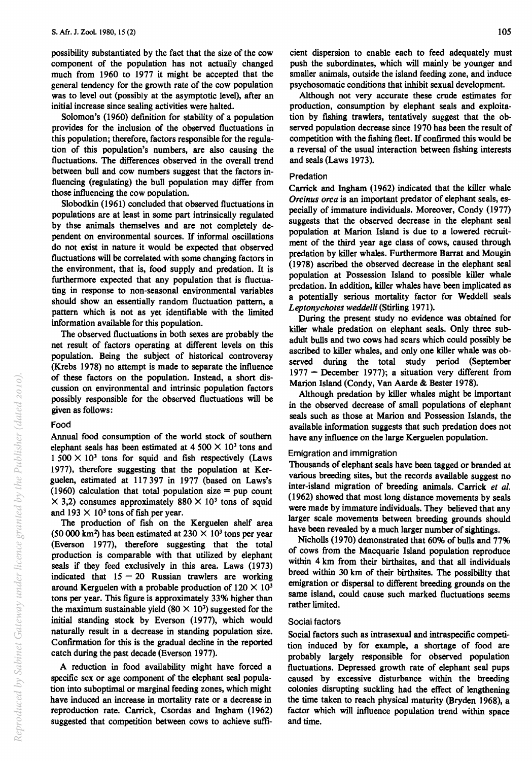possibility substantiated by the fact that the size of the cow component of the population has not actually changed much from 1960 to 1977 it might be accepted that the general tendency for the growth rate of the cow population was to level out (possibly at the asymptotic level), after an initial increase since sealing activities were halted.

Solomon's (1960) definition for stability of a population provides for the inclusion of the observed fluctuations in this population; therefore, factors responsible for the regulation of this population's numbers, are also causing the fluctuations. The differences observed in the overall trend between bull and cow numbers suggest that the factors influencing (regulating) the bull population may differ from those influencing the cow oopulation.

Slobodkin (1961) concluded that observed fluctuations in populations are at least in some part intrinsically regulated by thse animals themselves and are not completely dependent on environmental sources. If informal oscillations do not exist in nature it would be expected that observed fluctuations will be correlated with some changing factors in· the environment, that is, food supply and predation. It is furthermore expected that any population that is fluctuating in response to non-seasonal environmental variables should show an essentially random fluctuation pattern, a pattern which is not as yet identifiable with the limited information available for this population.

The observed fluctuations in both sexes are probably the net result of factors operating at different levels on this population. Being the subject of historical controversy (Krebs 1978) no attempt is made to separate the influence of these factors on the population. Instead, a short discussion on environmental and intrinsic population factors possibly responsible for the observed fluctuations will be given as follows:

#### Food

Annual food consumption of the world stock of southern elephant seals has been estimated at  $4.500 \times 10^{3}$  tons and  $1500 \times 10<sup>3</sup>$  tons for squid and fish respectively (Laws 1977), therefore suggesting that the population at Kerguelen, estimated at 117397 in 1977 (based on Laws's (1960) calculation that total population size  $=$  pup count  $\times$  3,2) consumes approximately 880  $\times$  10<sup>3</sup> tons of squid and 193  $\times$  10<sup>3</sup> tons of fish per year.

The production of fish on the Kerguelen shelf area (50 000 km<sup>2</sup>) has been estimated at  $230 \times 10^3$  tons per year (Everson 1977), therefore suggesting that the total production is comparable with that utilized by elephant seals if they feed exclusively in this area. Laws (1973) indicated that  $15 - 20$  Russian trawlers are working around Kerguelen with a probable production of  $120 \times 10^3$ tons per year. This figure is approximately 33% higher than the maximum sustainable yield  $(80 \times 10^3)$  suggested for the initial standing stock by Everson (1977), which would naturally result in a decrease in standing population size. Conftrmation for this is the gradual decline in the reported catch during the past decade (Everson 1977).

A reduction in food availability might have forced a specific sex or age component of the elephant seal population into suboptimal or marginal feeding zones, which might have induced an increase in mortality rate or a decrease in reproduction rate. Carrick, Csordas and Ingham (1962) suggested that competition between cows to achieve suffi-

cient dispersion to enable each to feed adequately must push the subordinates, which will mainly be younger and smaller animals, outside the island feeding zone, and induce psychosomatic conditions that inhibit sexual development.

Although not very accurate these crude estimates for production, consumption by elephant seals and exploitation by fishing trawlers, tentatively suggest that the observed population decrease since 1970 has been the result of competition with the fishing fleet. If confirmed this would be a reversal of the usual interaction between fishing interests and seals (Laws 1973).

#### Predation

Carrick and Ingham (1962) indicated that the killer whale *Orcinus orca* is an important predator of elephant seals, especially of immature individuals. Moreover, Condy (1977) suggests that the observed decrease in the elephant seal population at Marion Island is due to a lowered recruitment of the third year age class of cows, caused through predation by killer whales. Furthermore Barrat and Mougin (1978) ascribed the observed decrease in the elephant seal population at Possession Island to possible killer whale predation. In addition, killer whales have been implicated as a potentially serious mortality factor for Weddell seals *Leptonychotes weddelli* (Stirling 1971).

During the present study no evidence was obtained for killer whale predation on elephant seals. Only three subadult bulls and two cows had scars which could possibly be ascribed to killer whales, and only one killer whale was observed during the total study period (September  $1977$  – December 1977); a situation very different from Marion Island (Condy, Van Aarde & Bester 1978).

Although predation by killer whales might be important in the observed decrease of small populations of elephant seals such as those at Marion and Possession Islands, the available information suggests that such predation does not have any influence on the large Kerguelen population.

#### Emigration and immigration

Thousands of elephant seals have been tagged or branded at various breeding sites, but the records available suggest no inter-island migration of breeding animals. Carrick *et al.*  (1962) showed that most long distance movements by seals were made by immature individuals. They believed that any larger scale movements between breeding grounds should have been revealed by a much larger number of sightings.

Nicholls (1970) demonstrated that 60% of bulls and 77% of cows from the Macquarie Island population reproduce within 4 km from their birthsites, and that all individuals breed within 30 km of their birthsites. The possibility that emigration or dispersal to different breeding grounds on the same island, could cause such marked fluctuations seems rather limited.

#### Social factors

Social factors such as intrasexual and intraspecific competition induced by for example, a shortage of food are probably largely responsible for observed population fluctuations. Depressed growth rate of elephant seal pups caused by excessive disturbance within the breeding colonies disrupting suckling had the effect of lengthening the time taken to reach physical maturity (Bryden 1968), a factor which will influence population trend within space and time.